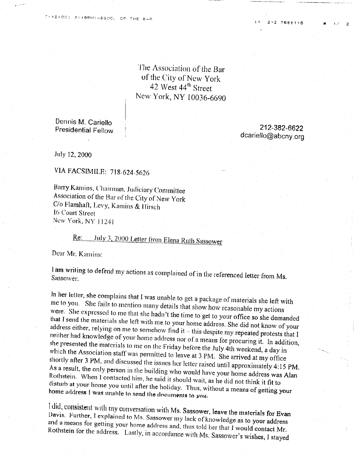The Association of the Bar of the City of New York 42 West 44<sup>th</sup> Street New York, NY 10036-6690

Dennis M. Cariello **Presidential Fellow** 

212-382-6622 dcariello@abcny.org

212 7685116

July 12, 2000

VIA FACSIMILE: 718-624-5626

Barry Kamins, Chairman, Judiciary Committee Association of the Bar of the City of New York C/o Flamhaft, Levy, Kamins & Hirsch 16 Court Street New York, NY 11241

## July 3, 2000 Letter from Elena Ruth Sassower  $Re:$

Dear Mr. Kamins:

I am writing to defend my actions as complained of in the referenced letter from Ms. Sassower.

In her letter, she complains that I was unable to get a package of materials she left with me to you. She fails to mention many details that show how reasonable my actions were. She expressed to me that she hadn't the time to get to your office so she demanded that I send the materials she left with me to your home address. She did not know of your address either, relying on me to somehow find it - this despite my repeated protests that I neither had knowledge of your home address nor of a means for procuring it. In addition, she presented the materials to me on the Friday before the July 4th weekend, a day in which the Association staff was permitted to leave at 3 PM. She arrived at my office shortly after 3 PM, and discussed the issues her letter raised until approximately 4:15 PM. As a result, the only person in the building who would have your home address was Alan Rothstein. When I contacted him, he said it should wait, as he did not think it fit to disturb at your home you until after the holiday. Thus, without a means of getting your home address I was unable to send the documents to you.

I did, consistent with my conversation with Ms. Sassower, leave the materials for Evan Davis. Further, I explained to Ms. Sassower my lack of knowledge as to your address and a means for getting your home address and, thus told her that I would contact Mr. Rothstein for the address. Lastly, in accordance with Ms. Sassower's wishes, I stayed